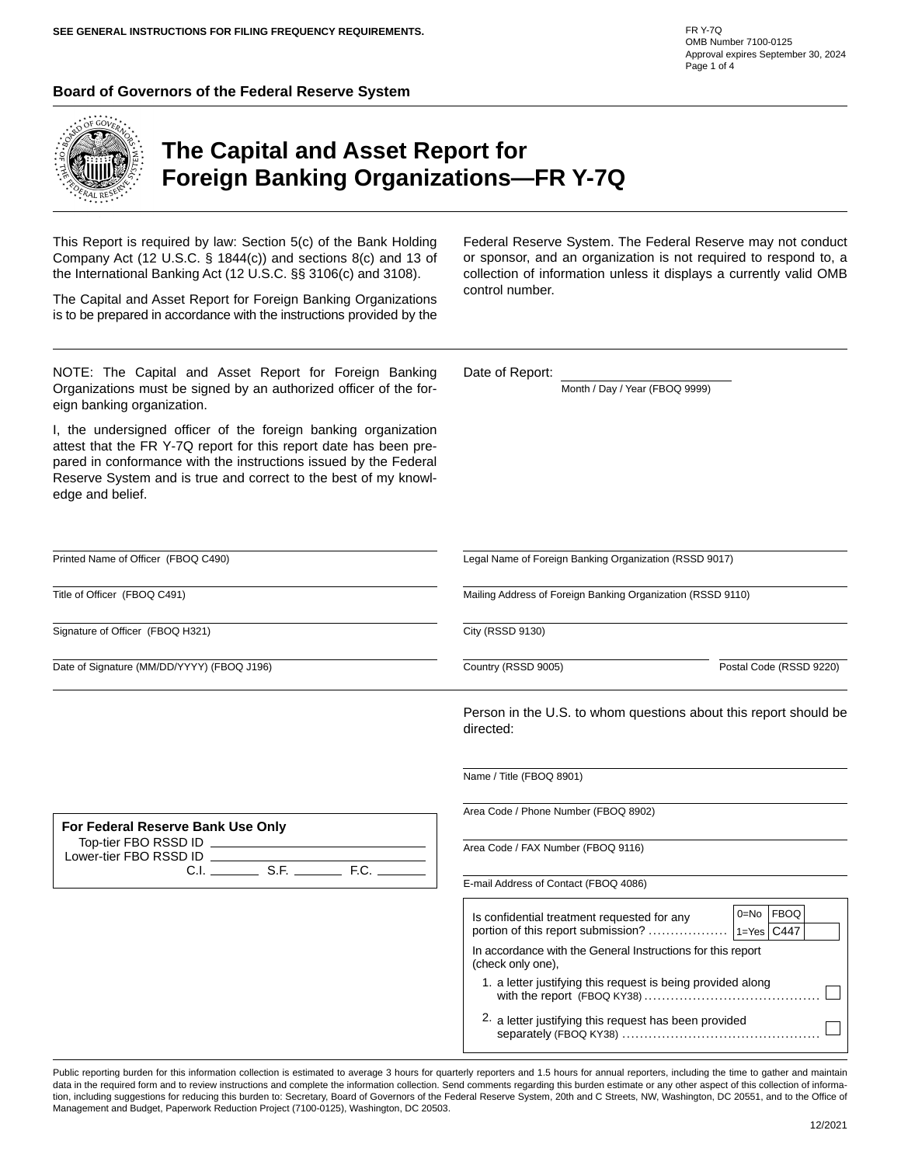#### **Board of Governors of the Federal Reserve System**



eign banking organization.

edge and belief.

# **The Capital and Asset Report for Foreign Banking Organizations—FR Y-7Q**

This Report is required by law: Section 5(c) of the Bank Holding Company Act (12 U.S.C. § 1844(c)) and sections 8(c) and 13 of the International Banking Act (12 U.S.C. §§ 3106(c) and 3108).

The Capital and Asset Report for Foreign Banking Organizations is to be prepared in accordance with the instructions provided by the

NOTE: The Capital and Asset Report for Foreign Banking Organizations must be signed by an authorized officer of the for-

I, the undersigned officer of the foreign banking organization attest that the FR Y-7Q report for this report date has been prepared in conformance with the instructions issued by the Federal Reserve System and is true and correct to the best of my knowlFederal Reserve System. The Federal Reserve may not conduct or sponsor, and an organization is not required to respond to, a collection of information unless it displays a currently valid OMB control number.

Date of Report:

Month / Day / Year (FBOQ 9999)

| Printed Name of Officer (FBOQ C490)        |                                                                                  | Legal Name of Foreign Banking Organization (RSSD 9017)           |  |  |  |
|--------------------------------------------|----------------------------------------------------------------------------------|------------------------------------------------------------------|--|--|--|
| Title of Officer (FBOQ C491)               |                                                                                  | Mailing Address of Foreign Banking Organization (RSSD 9110)      |  |  |  |
| Signature of Officer (FBOQ H321)           | City (RSSD 9130)                                                                 |                                                                  |  |  |  |
| Date of Signature (MM/DD/YYYY) (FBOQ J196) | Country (RSSD 9005)                                                              | Postal Code (RSSD 9220)                                          |  |  |  |
|                                            | directed:                                                                        | Person in the U.S. to whom questions about this report should be |  |  |  |
|                                            | Name / Title (FBOQ 8901)                                                         |                                                                  |  |  |  |
| For Federal Reserve Bank Use Only          | Area Code / Phone Number (FBOQ 8902)                                             |                                                                  |  |  |  |
|                                            | Area Code / FAX Number (FBOQ 9116)                                               |                                                                  |  |  |  |
|                                            | E-mail Address of Contact (FBOQ 4086)                                            |                                                                  |  |  |  |
|                                            | Is confidential treatment requested for any                                      | 0=No FBOQ                                                        |  |  |  |
|                                            | In accordance with the General Instructions for this report<br>(check only one), |                                                                  |  |  |  |
|                                            | 1. a letter justifying this request is being provided along                      |                                                                  |  |  |  |
|                                            | 2. a letter justifying this request has been provided                            |                                                                  |  |  |  |

Public reporting burden for this information collection is estimated to average 3 hours for quarterly reporters and 1.5 hours for annual reporters, including the time to gather and maintain data in the required form and to review instructions and complete the information collection. Send comments regarding this burden estimate or any other aspect of this collection of information, including suggestions for reducing this burden to: Secretary, Board of Governors of the Federal Reserve System, 20th and C Streets, NW, Washington, DC 20551, and to the Office of Management and Budget, Paperwork Reduction Project (7100-0125), Washington, DC 20503.

FR Y-7Q OMB Number 7100-0125 Approval expires September 30, 2024 Page 1 of 4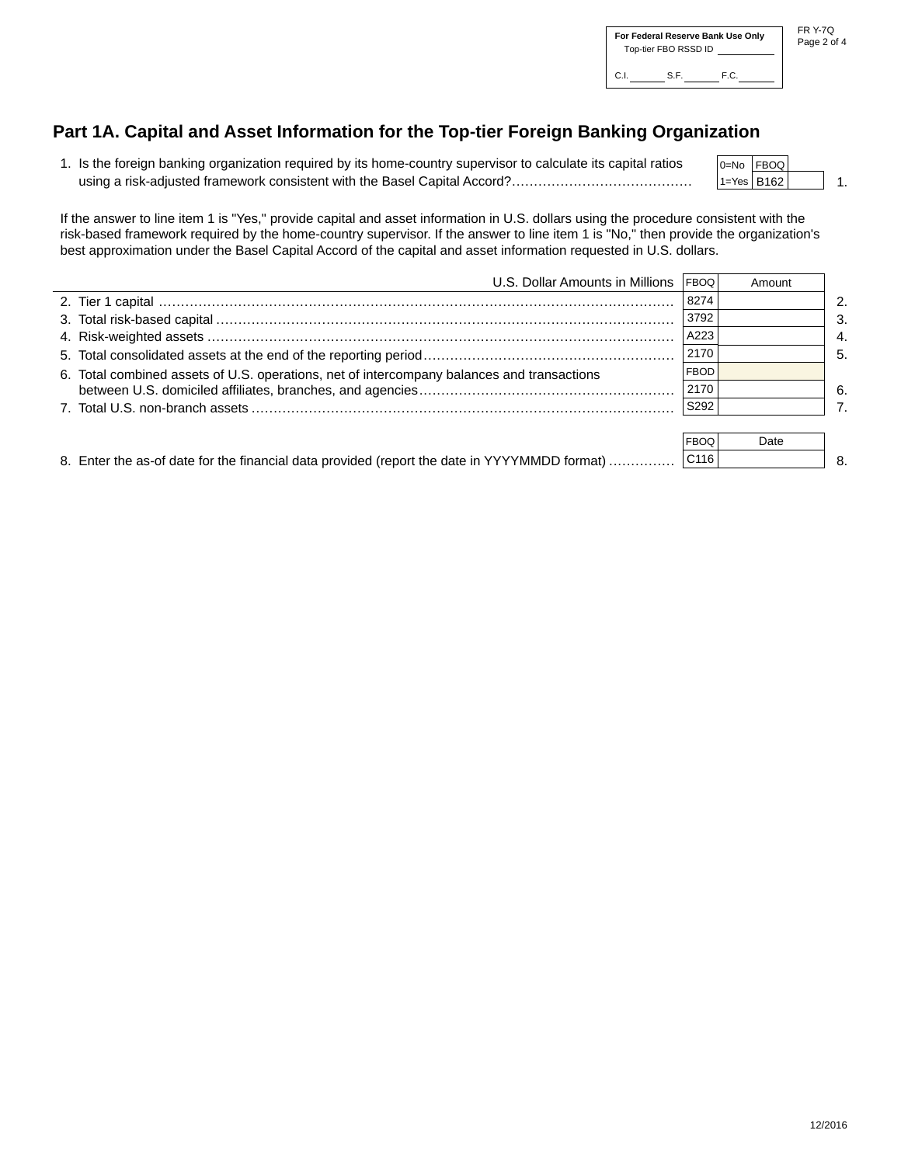# **Part 1A. Capital and Asset Information for the Top-tier Foreign Banking Organization**

| 1. Is the foreign banking organization required by its home-country supervisor to calculate its capital ratios | $ 0=No$ $ FBOQ $ |  |
|----------------------------------------------------------------------------------------------------------------|------------------|--|
|                                                                                                                | $ 1=Yes$   B162  |  |

If the answer to line item 1 is "Yes," provide capital and asset information in U.S. dollars using the procedure consistent with the risk-based framework required by the home-country supervisor. If the answer to line item 1 is "No," then provide the organization's best approximation under the Basel Capital Accord of the capital and asset information requested in U.S. dollars.

| U.S. Dollar Amounts in Millions   FBOQ                                                     |             | Amount         |                |
|--------------------------------------------------------------------------------------------|-------------|----------------|----------------|
|                                                                                            | 8274        |                | $\overline{2}$ |
|                                                                                            | 3792        |                | - 3.           |
|                                                                                            | A223        |                | 4.             |
|                                                                                            | 2170        |                | $-5.$          |
| 6. Total combined assets of U.S. operations, net of intercompany balances and transactions | <b>FBOD</b> |                |                |
|                                                                                            | 2170        |                | -6.            |
|                                                                                            | S292        |                | $\overline{7}$ |
|                                                                                            |             |                |                |
|                                                                                            | <b>CDOO</b> | D <sub>0</sub> |                |

|                                                                                              | <b>FBOQ</b>      | Date |  |
|----------------------------------------------------------------------------------------------|------------------|------|--|
| 8. Enter the as-of date for the financial data provided (report the date in YYYYMMDD format) | C <sub>116</sub> |      |  |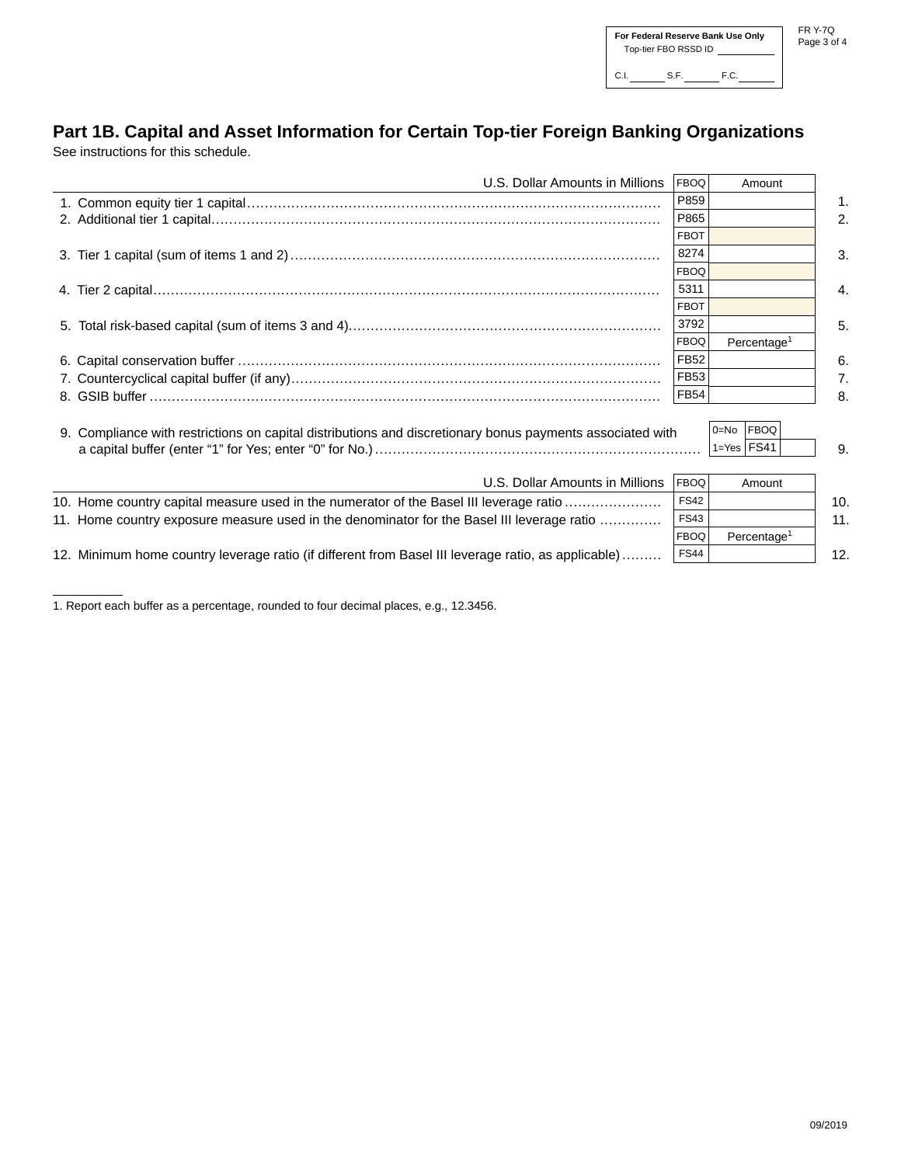## **Part 1B. Capital and Asset Information for Certain Top-tier Foreign Banking Organizations**

See instructions for this schedule.

| U.S. Dollar Amounts in Millions                                                                                        | <b>FBOQ</b> | Amount                  |               |
|------------------------------------------------------------------------------------------------------------------------|-------------|-------------------------|---------------|
|                                                                                                                        | P859        |                         | $\mathbf 1$ . |
|                                                                                                                        | P865        |                         | 2.            |
|                                                                                                                        | <b>FBOT</b> |                         |               |
|                                                                                                                        | 8274        |                         | 3.            |
|                                                                                                                        | <b>FBOQ</b> |                         |               |
|                                                                                                                        | 5311        |                         | 4.            |
|                                                                                                                        | <b>FBOT</b> |                         |               |
|                                                                                                                        | 3792        |                         | 5.            |
|                                                                                                                        | <b>FBOQ</b> | Percentage <sup>1</sup> |               |
|                                                                                                                        | <b>FB52</b> |                         | 6.            |
|                                                                                                                        | <b>FB53</b> |                         | 7.            |
|                                                                                                                        | <b>FB54</b> |                         | 8.            |
|                                                                                                                        |             |                         |               |
| 0=No FBOQ<br>9. Compliance with restrictions on capital distributions and discretionary bonus payments associated with |             |                         |               |
|                                                                                                                        |             | $1 = Yes$ FS41          | 9.            |
|                                                                                                                        |             |                         |               |
| U.S. Dollar Amounts in Millions                                                                                        | <b>FBOQ</b> | Amount                  |               |
| 10. Home country capital measure used in the numerator of the Basel III leverage ratio                                 | <b>FS42</b> |                         | 10.           |
| 11. Home country exposure measure used in the denominator for the Basel III leverage ratio                             | <b>FS43</b> |                         | 11.           |
|                                                                                                                        | <b>FBOQ</b> | Percentage <sup>1</sup> |               |
| 12. Minimum home country leverage ratio (if different from Basel III leverage ratio, as applicable)                    | <b>FS44</b> |                         | 12.           |

1. Report each buffer as a percentage, rounded to four decimal places, e.g., 12.3456.